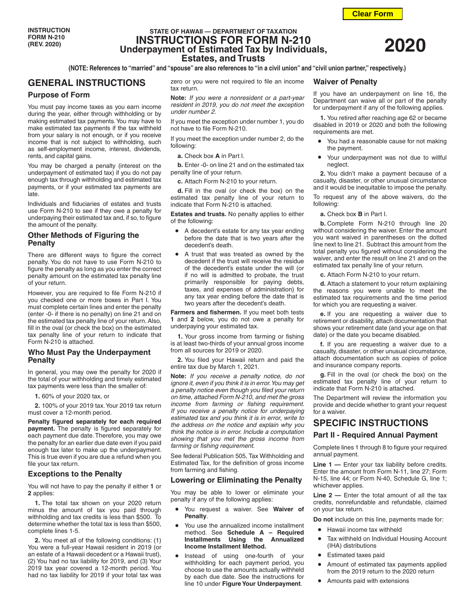# **STATE OF HAWAII — DEPARTMENT OF TAXATION INSTRUCTIONS FOR FORM N-210 Underpayment of Estimated Tax by Individuals, Estates, and Trusts**

**(NOTE: References to "married" and "spouse" are also references to "in a civil union" and "civil union partner," respectively.)**

# **GENERAL INSTRUCTIONS**

### **Purpose of Form**

You must pay income taxes as you earn income during the year, either through withholding or by making estimated tax payments. You may have to make estimated tax payments if the tax withheld from your salary is not enough, or if you receive income that is not subject to withholding, such as self-employment income, interest, dividends, rents, and capital gains.

You may be charged a penalty (interest on the underpayment of estimated tax) if you do not pay enough tax through withholding and estimated tax payments, or if your estimated tax payments are late.

Individuals and fiduciaries of estates and trusts use Form N-210 to see if they owe a penalty for underpaying their estimated tax and, if so, to figure the amount of the penalty.

# **Other Methods of Figuring the Penalty**

There are different ways to figure the correct penalty. You do not have to use Form N-210 to figure the penalty as long as you enter the correct penalty amount on the estimated tax penalty line of your return.

However, you are required to file Form N-210 if you checked one or more boxes in Part I. You must complete certain lines and enter the penalty (enter -0- if there is no penalty) on line 21 and on the estimated tax penalty line of your return. Also, fill in the oval (or check the box) on the estimated tax penalty line of your return to indicate that Form N-210 is attached.

## **Who Must Pay the Underpayment Penalty**

In general, you may owe the penalty for 2020 if the total of your withholding and timely estimated tax payments were less than the smaller of:

**1.** 60% of your 2020 tax, or

**2.** 100% of your 2019 tax. Your 2019 tax return must cover a 12-month period.

**Penalty figured separately for each required payment.** The penalty is figured separately for each payment due date. Therefore, you may owe the penalty for an earlier due date even if you paid enough tax later to make up the underpayment. This is true even if you are due a refund when you file your tax return.

### **Exceptions to the Penalty**

You will not have to pay the penalty if either **1** or **2** applies:

**1.** The total tax shown on your 2020 return minus the amount of tax you paid through withholding and tax credits is less than \$500. To determine whether the total tax is less than \$500, complete lines 1-5.

**2.** You meet all of the following conditions: (1) You were a full-year Hawaii resident in 2019 (or an estate of a Hawaii decedent or a Hawaii trust), (2) You had no tax liability for 2019, and (3) Your 2019 tax year covered a 12-month period. You had no tax liability for 2019 if your total tax was

zero or you were not required to file an income tax return.

**Note:** *If you were a nonresident or a part-year resident in 2019, you do not meet the exception under number 2.*

If you meet the exception under number 1, you do not have to file Form N-210.

If you meet the exception under number 2, do the following:

**a.** Check box **A** in Part I.

**b.** Enter -0- on line 21 and on the estimated tax penalty line of your return.

**c.** Attach Form N-210 to your return.

**d.** Fill in the oval (or check the box) on the estimated tax penalty line of your return to indicate that Form N-210 is attached.

**Estates and trusts.** No penalty applies to either of the following:

- A decedent's estate for any tax year ending before the date that is two years after the decedent's death.
- A trust that was treated as owned by the decedent if the trust will receive the residue of the decedent's estate under the will (or if no will is admitted to probate, the trust primarily responsible for paying debts, taxes, and expenses of administration) for any tax year ending before the date that is two years after the decedent's death.

**Farmers and fishermen.** If you meet both tests **1** and **2** below, you do not owe a penalty for underpaying your estimated tax.

**1.** Your gross income from farming or fishing is at least two-thirds of your annual gross income from all sources for 2019 or 2020.

**2.** You filed your Hawaii return and paid the entire tax due by March 1, 2021.

**Note:** *If you receive a penalty notice, do not ignore it, even if you think it is in error. You may get a penalty notice even though you filed your return on time, attached Form N-210, and met the gross income from farming or fishing requirement. If you receive a penalty notice for underpaying estimated tax and you think it is in error, write to the address on the notice and explain why you think the notice is in error. Include a computation showing that you met the gross income from farming or fishing requirement.*

See federal Publication 505, Tax Withholding and Estimated Tax, for the definition of gross income from farming and fishing.

### **Lowering or Eliminating the Penalty**

You may be able to lower or eliminate your penalty if any of the following applies:

- You request a waiver. See **Waiver of Penalty**.
- You use the annualized income installment method. See **Schedule A – Required Installments Using the Annualized Income Installment Method.**
- Instead of using one-fourth of your withholding for each payment period, you choose to use the amounts actually withheld by each due date. See the instructions for line 10 under **Figure Your Underpayment**.

## **Waiver of Penalty**

If you have an underpayment on line 16, the Department can waive all or part of the penalty for underpayment if any of the following applies.

**1.** You retired after reaching age 62 or became disabled in 2019 or 2020 and both the following requirements are met.

- You had a reasonable cause for not making the payment.
- Your underpayment was not due to willful neglect.

**2.** You didn't make a payment because of a casualty, disaster, or other unusual circumstance and it would be inequitable to impose the penalty.

To request any of the above waivers, do the following:

**a.** Check box **B** in Part I.

**b.** Complete Form N-210 through line 20 without considering the waiver. Enter the amount you want waived in parentheses on the dotted line next to line 21. Subtract this amount from the total penalty you figured without considering the waiver, and enter the result on line 21 and on the estimated tax penalty line of your return.

**c.** Attach Form N-210 to your return.

**d.** Attach a statement to your return explaining the reasons you were unable to meet the estimated tax requirements and the time period for which you are requesting a waiver.

**e.** If you are requesting a waiver due to retirement or disability, attach documentation that shows your retirement date (and your age on that date) or the date you became disabled.

**f.** If you are requesting a waiver due to a casualty, disaster, or other unusual circumstance, attach documentation such as copies of police and insurance company reports.

**g.** Fill in the oval (or check the box) on the estimated tax penalty line of your return to indicate that Form N-210 is attached.

The Department will review the information you provide and decide whether to grant your request for a waiver.

# **SPECIFIC INSTRUCTIONS**

### **Part II - Required Annual Payment**

Complete lines 1 through 8 to figure your required annual payment.

**Line 1 —** Enter your tax liability before credits. Enter the amount from Form N-11, line 27; Form N-15, line 44; or Form N-40, Schedule G, line 1; whichever applies.

**Line 2 —** Enter the total amount of all the tax credits, nonrefundable and refundable, claimed on your tax return.

**Do not** include on this line, payments made for:

- Hawaii income tax withheld
- Tax withheld on Individual Housing Account (IHA) distributions
- Estimated taxes paid
- Amount of estimated tax payments applied from the 2019 return to the 2020 return
- Amounts paid with extensions

**Clear Form**

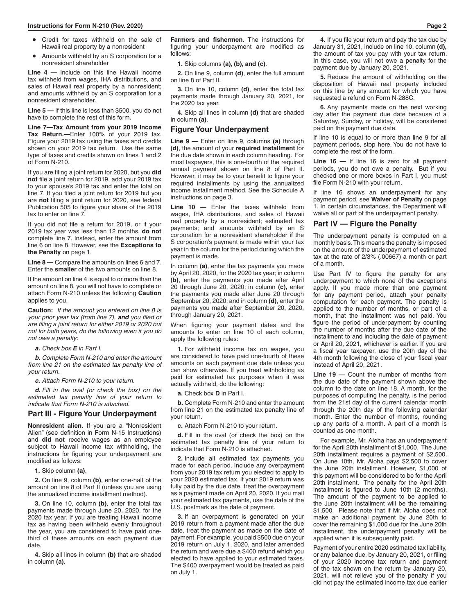- Credit for taxes withheld on the sale of Hawaii real property by a nonresident
- Amounts withheld by an S corporation for a nonresident shareholder

**Line 4 —** Include on this line Hawaii income tax withheld from wages, IHA distributions, and sales of Hawaii real property by a nonresident; and amounts withheld by an S corporation for a nonresident shareholder.

**Line 5 —** If this line is less than \$500, you do not have to complete the rest of this form.

**Line 7—Tax Amount from your 2019 Income Tax Return.—**Enter 100% of your 2019 tax. Figure your 2019 tax using the taxes and credits shown on your 2019 tax return. Use the same type of taxes and credits shown on lines 1 and 2 of Form N-210.

If you are filing a joint return for 2020, but you **did not** file a joint return for 2019, add your 2019 tax to your spouse's 2019 tax and enter the total on line 7. If you filed a joint return for 2019 but you are **not** filing a joint return for 2020, see federal Publication 505 to figure your share of the 2019 tax to enter on line 7.

If you did not file a return for 2019, or if your 2019 tax year was less than 12 months, **do not** complete line 7. Instead, enter the amount from line 6 on line 8. However, see the **Exceptions to the Penalty** on page 1.

**Line 8 —** Compare the amounts on lines 6 and 7. Enter the **smaller** of the two amounts on line 8.

If the amount on line 4 is equal to or more than the amount on line 8, you will not have to complete or attach Form N-210 unless the following **Caution** applies to you.

**Caution:** *If the amount you entered on line 8 is your prior year tax (from line 7), and you filed or are filing a joint return for either 2019 or 2020 but not for both years, do the following even if you do not owe a penalty:*

*a. Check box E in Part I.*

*b. Complete Form N-210 and enter the amount from line 21 on the estimated tax penalty line of your return.*

*c. Attach Form N-210 to your return.*

*d. Fill in the oval (or check the box) on the estimated tax penalty line of your return to indicate that Form N-210 is attached.*

### **Part III - Figure Your Underpayment**

**Nonresident alien.** If you are a "Nonresident Alien" (see definition in Form N-15 Instructions) and **did not** receive wages as an employee subiect to Hawaii income tax withholding, the instructions for figuring your underpayment are modified as follows:

**1.** Skip column **(a)**.

**2.** On line 9, column **(b)**, enter one-half of the amount on line 8 of Part II (unless you are using the annualized income installment method).

**3.** On line 10, column **(b)**, enter the total tax payments made through June 20, 2020, for the 2020 tax year. If you are treating Hawaii income tax as having been withheld evenly throughout the year, you are considered to have paid onethird of these amounts on each payment due date.

**4.** Skip all lines in column **(b)** that are shaded in column **(a)**.

**Farmers and fishermen.** The instructions for figuring your underpayment are modified as follows:

### **1.** Skip columns **(a), (b), and (c)**.

**2.** On line 9, column **(d)**, enter the full amount on line 8 of Part II.

**3.** On line 10, column **(d)**, enter the total tax payments made through January 20, 2021, for the 2020 tax year.

**4.** Skip all lines in column **(d)** that are shaded in column **(a)**.

### **Figure Your Underpayment**

**Line 9 —** Enter on line 9, columns **(a)** through **(d)**, the amount of your **required installment** for the due date shown in each column heading. For most taxpayers, this is one-fourth of the required annual payment shown on line 8 of Part II. However, it may be to your benefit to figure your required installments by using the annualized income installment method. See the Schedule A instructions on page 3.

**Line 10 —** Enter the taxes withheld from wages, IHA distributions, and sales of Hawaii real property by a nonresident; estimated tax payments; and amounts withheld by an S corporation for a nonresident shareholder if the S corporation's payment is made within your tax year in the column for the period during which the payment is made.

In column **(a)**, enter the tax payments you made by April 20, 2020, for the 2020 tax year; in column **(b)**, enter the payments you made after April 20 through June 20, 2020; in column **(c),** enter the payments you made after June 20 through September 20, 2020; and in column **(d)**, enter the payments you made after September 20, 2020, through January 20, 2021.

When figuring your payment dates and the amounts to enter on line 10 of each column, apply the following rules:

**1.** For withheld income tax on wages, you are considered to have paid one-fourth of these amounts on each payment due date unless you can show otherwise. If you treat withholding as paid for estimated tax purposes when it was actually withheld, do the following:

**a.** Check box **D** in Part I.

**b.** Complete Form N-210 and enter the amount from line 21 on the estimated tax penalty line of your return.

**c.** Attach Form N-210 to your return.

**d.** Fill in the oval (or check the box) on the estimated tax penalty line of your return to indicate that Form N-210 is attached.

**2.** Include all estimated tax payments you made for each period. Include any overpayment from your 2019 tax return you elected to apply to your 2020 estimated tax. If your 2019 return was fully paid by the due date, treat the overpayment as a payment made on April 20, 2020. If you mail your estimated tax payments, use the date of the U.S. postmark as the date of payment.

**3.** If an overpayment is generated on your 2019 return from a payment made after the due date, treat the payment as made on the date of payment. For example, you paid \$500 due on your 2019 return on July 1, 2020, and later amended the return and were due a \$400 refund which you elected to have applied to your estimated taxes. The \$400 overpayment would be treated as paid on July 1.

**4.** If you file your return and pay the tax due by January 31, 2021, include on line 10, column **(d),** the amount of tax you pay with your tax return. In this case, you will not owe a penalty for the payment due by January 20, 2021.

**5.** Reduce the amount of withholding on the disposition of Hawaii real property included on this line by any amount for which you have requested a refund on Form N-288C.

**6.** Any payments made on the next working day after the payment due date because of a Saturday, Sunday, or holiday, will be considered paid on the payment due date.

If line 10 is equal to or more than line 9 for all payment periods, stop here. You do not have to complete the rest of the form.

**Line 16 —** If line 16 is zero for all payment periods, you do not owe a penalty. But if you checked one or more boxes in Part I, you must file Form N-210 with your return.

If line 16 shows an underpayment for any payment period, see **Waiver of Penalty** on page 1. In certain circumstances, the Department will waive all or part of the underpayment penalty.

#### **Part IV — Figure the Penalty**

The underpayment penalty is computed on a monthly basis. This means the penalty is imposed on the amount of the underpayment of estimated tax at the rate of 2/3% (.00667) a month or part of a month.

Use Part IV to figure the penalty for any underpayment to which none of the exceptions apply. If you made more than one payment for any payment period, attach your penalty computation for each payment. The penalty is applied to the number of months, or part of a month, that the installment was not paid. You figure the period of underpayment by counting the number of months after the due date of the installment to and including the date of payment or April 20, 2021, whichever is earlier. If you are a fiscal year taxpayer, use the 20th day of the 4th month following the close of your fiscal year instead of April 20, 2021.

**Line 19** — Count the number of months from the due date of the payment shown above the column to the date on line 18. A month, for the purposes of computing the penalty, is the period from the 21st day of the current calendar month through the 20th day of the following calendar month. Enter the number of months, rounding up any parts of a month. A part of a month is counted as one month.

For example, Mr. Aloha has an underpayment for the April 20th installment of \$1,000. The June 20th installment requires a payment of \$2,500. On June 10th, Mr. Aloha pays \$2,500 to cover the June 20th installment. However, \$1,000 of this payment will be considered to be for the April 20th installment. The penalty for the April 20th installment is figured to June 10th (2 months). The amount of the payment to be applied to the June 20th installment will be the remaining \$1,500. Please note that if Mr. Aloha does not make an additional payment by June 20th to cover the remaining \$1,000 due for the June 20th installment, the underpayment penalty will be applied when it is subsequently paid.

Payment of your entire 2020 estimated tax liability, or any balance due, by January 20, 2021, or filing of your 2020 income tax return and payment of the tax shown on the return by January 20, 2021, will not relieve you of the penalty if you did not pay the estimated income tax due earlier